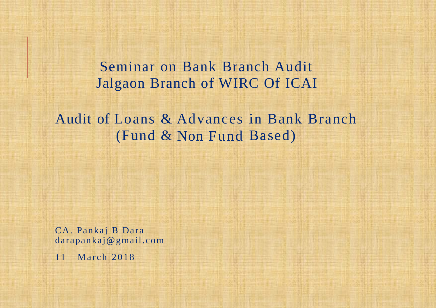Seminar on Bank Branch Audit Jalgaon Branch of WIRC Of ICAI

Audit of Loans & Advances in Bank Branch (Fund & Non Fund Based)

CA. Pankaj B Dara darapankaj@gmail.com

11 March 2018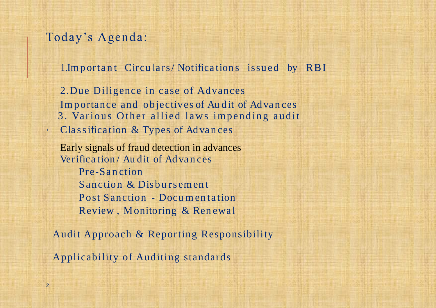#### Today's Agenda:

1. Important Circulars/Notifications issued by RBI

2.Due Diligence in case of Advances Importance and objectives of Au dit of Advances 3. Various Other allied laws impending audit . Cla s sifica tion & Types of Adva n ces

Early signals of fraud detection in advances Verifica tion / Au dit of Adva n ces Pre-Sa n ction Sanction & Disbursement Post Sanction - Documentation Review, Monitoring & Renewal

Audit Approach & Reporting Responsibility

Applicability of Auditing standards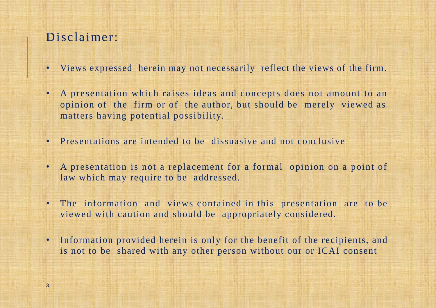### Disclaimer:

- Views expressed herein may not necessarily reflect the views of the firm.
- A presentation which raises ideas and concepts does not amount to an opinion of the firm or of the author, but should be merely viewed as matters having potential possibility.
- Presentations are intended to be dissuasive and not conclusive
- A presentation is not a replacement for a formal opinion on a point of law which may require to be addressed.
- The information and views contained in this presentation are to be viewed with caution and should be appropriately considered.
- Information provided herein is only for the benefit of the recipients, and is not to be shared with any other person without our or ICAI consent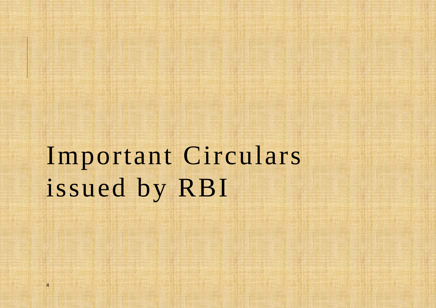Important Circulars issued by RBI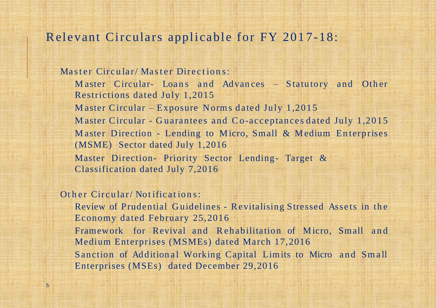#### Relevant Circulars applicable for FY 2017-18:

Master Circular/Master Directions: M aster Circular- Loans and Advances – Statutory and Other Restrictions dated July 1,2015 Master Circular – Exposure Norms dated July  $1,2015$ M aster Circular - Guarantees and Co-acceptances dated July 1,2015 Master Direction - Lending to Micro, Small & Medium Enterprises (MSME) Sector dated July 1,2016 Master Direction- Priority Sector Lending- Target & Classification dated July 7,2016

Other Circular/Notifications:

Review of Prudential Guidelines - Revitalising Stressed Assets in the Economy dated February 25,2016 Framework for Revival and Rehabilitation of Micro, Small and

Medium Enterprises (MSMEs) dated March 17,2016 Sanction of Additional Working Capital Limits to Micro and Small Enterprises (MSEs) dated December 29,2016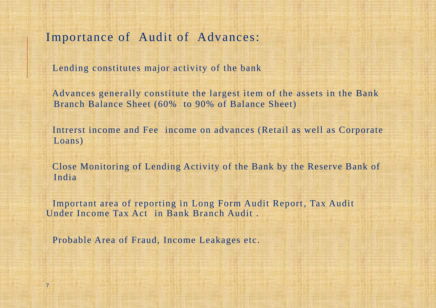Importance of Audit of Advances:

Lending constitutes major activity of the bank

Advances generally constitute the largest item of the assets in the Bank Branch Balance Sheet (60% to 90% of Balance Sheet)

Intrerst income and Fee income on advances (Retail as well as Corporate Loans)

Close Monitoring of Lending Activity of the Bank by the Reserve Bank of India

Important area of reporting in Long Form Audit Report, Tax Audit Under Income Tax Act in Bank Branch Audit .

Probable Area of Fraud, Income Leakages etc.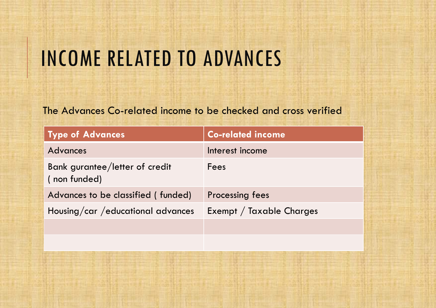# INCOME RELATED TO ADVANCES

#### The Advances Co-related income to be checked and cross verified

| Type of Advances                               | <b>Co-related income</b> |
|------------------------------------------------|--------------------------|
| <b>Advances</b>                                | Interest income          |
| Bank gurantee/letter of credit<br>(non funded) | Fees                     |
| Advances to be classified (funded)             | <b>Processing fees</b>   |
| Housing/car / educational advances             | Exempt / Taxable Charges |
|                                                |                          |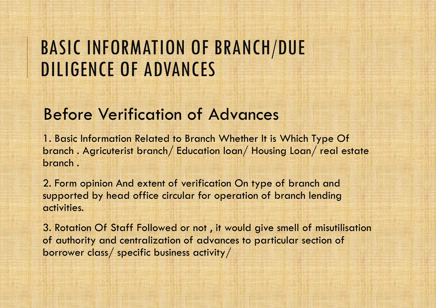### BASIC INFORMATION OF BRANCH/DUE DILIGENCE OF ADVANCES

### Before Verification of Advances

1. Basic Information Related to Branch Whether It is Which Type Of branch . Agricuterist branch/ Education loan/ Housing Loan/ real estate branch .

2. Form opinion And extent of verification On type of branch and supported by head office circular for operation of branch lending activities.

3. Rotation Of Staff Followed or not , it would give smell of misutilisation of authority and centralization of advances to particular section of borrower class/ specific business activity/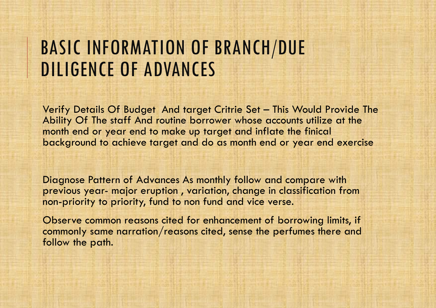### BASIC INFORMATION OF BRANCH/DUE DILIGENCE OF ADVANCES

Verify Details Of Budget And target Critrie Set – This Would Provide The Ability Of The staff And routine borrower whose accounts utilize at the month end or year end to make up target and inflate the finical background to achieve target and do as month end or year end exercise

Diagnose Pattern of Advances As monthly follow and compare with previous year- major eruption , variation, change in classification from non-priority to priority, fund to non fund and vice verse.

Observe common reasons cited for enhancement of borrowing limits, if commonly same narration/reasons cited, sense the perfumes there and follow the path.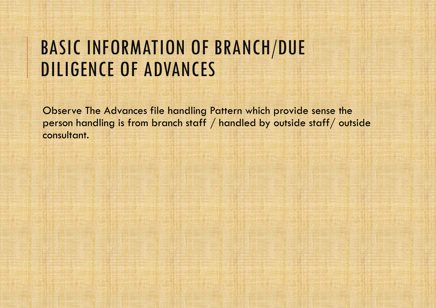### BASIC INFORMATION OF BRANCH/DUE DILIGENCE OF ADVANCES

Observe The Advances file handling Pattern which provide sense the person handling is from branch staff / handled by outside staff/ outside consultant.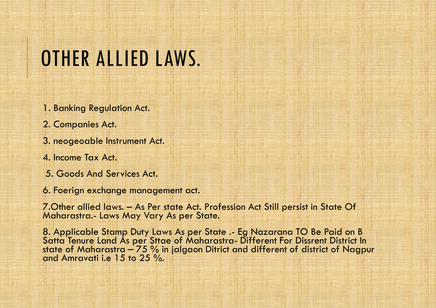# OTHER ALLIED LAWS.

- 1. Banking Regulation Act.
- 2. Companies Act.
- 3. neogeoable Instrument Act.
- 4. Income Tax Act.
- 5. Goods And Services Act.
- 6. Foerign exchange management act.

7.Other allied laws. – As Per state Act. Profession Act Still persist in State Of Maharastra.- Laws May Vary As per State.

8. Applicable Stamp Duty Laws As per State .- Eg Nazarana TO Be Paid on B Satta Tenure Land As per Sttae of Maharastra- Different For Dissrent District In state of Maharastra – 75 % in jalgaon Ditrict and different of district of Nagpur and Amravati i.e 15 to 25 %.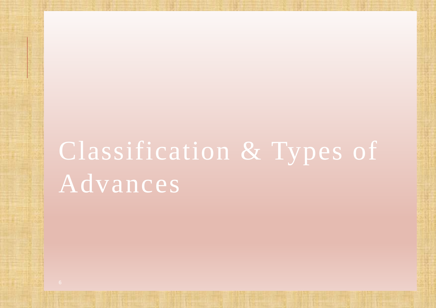# Classification & Types of Advances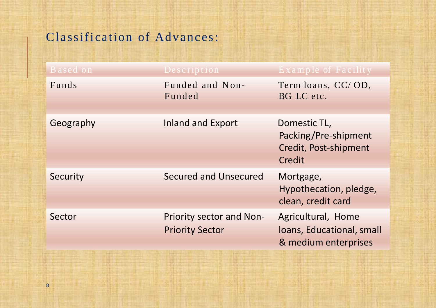### Classification of Advances:

| Based on  | Description                                               | Example of Facility                                                     |
|-----------|-----------------------------------------------------------|-------------------------------------------------------------------------|
| Funds     | Funded and Non-<br>Funded                                 | Term loans, CC/OD,<br>BG LC etc.                                        |
| Geography | <b>Inland and Export</b>                                  | Domestic TL,<br>Packing/Pre-shipment<br>Credit, Post-shipment<br>Credit |
| Security  | Secured and Unsecured                                     | Mortgage,<br>Hypothecation, pledge,<br>clean, credit card               |
| Sector    | <b>Priority sector and Non-</b><br><b>Priority Sector</b> | Agricultural, Home<br>loans, Educational, small<br>& medium enterprises |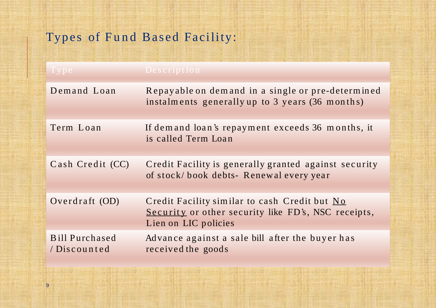### Types of Fund Based Facility:

| $\vert\, {\rm Type}\, \vert$         | Description                                                                                                                  |
|--------------------------------------|------------------------------------------------------------------------------------------------------------------------------|
| Demand Loan                          | Repayable on demand in a single or pre-determined<br>instalments generally up to 3 years (36 months)                         |
| Term Loan                            | If demand loan's repayment exceeds 36 months, it<br>is called Term Loan                                                      |
| Cash Credit (CC)                     | Credit Facility is generally granted against security<br>of stock/book debts-Renewal every year                              |
| Overdraft (OD)                       | Credit Facility similar to cash Credit but No<br>Security or other security like FD's, NSC receipts,<br>Lien on LIC policies |
| <b>Bill Purchased</b><br>/Discounted | Advance against a sale bill after the buyer has<br>received the goods                                                        |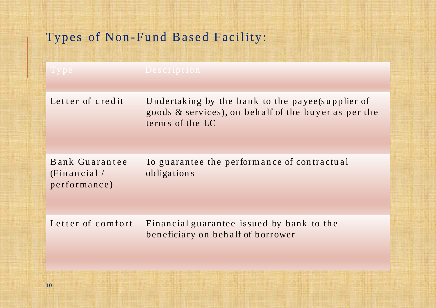### Types of Non-Fund Based Facility:

| $1$ y p $\overline{e}$                        | Description                                                                                                                 |
|-----------------------------------------------|-----------------------------------------------------------------------------------------------------------------------------|
| Letter of credit                              | Undertaking by the bank to the payee(supplier of<br>goods & services), on behalf of the buyer as per the<br>terms of the LC |
| Bank Guarantee<br>(Financial/<br>performance) | To guarantee the performance of contractual<br>obligations                                                                  |
| Letter of comfort                             | Financial guarantee issued by bank to the<br>beneficiary on behalf of borrower                                              |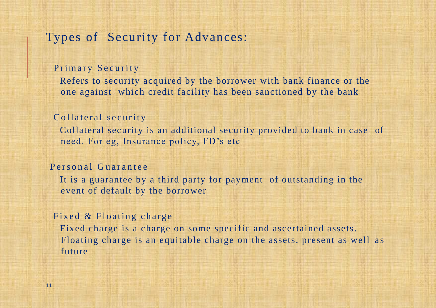#### Types of Security for Advances:

#### Primary Security

Refers to security acquired by the borrower with bank finance or the one against which credit facility has been sanctioned by the bank

#### Collateral security

Collateral security is an additional security provided to bank in case of need. For eg, Insurance policy, FD's etc

#### Personal Guarantee

It is a guarantee by a third party for payment of outstanding in the event of default by the borrower

#### Fixed  $&$  Floating charge

Fixed charge is a charge on some specific and ascertained assets. Floating charge is an equitable charge on the assets, present as well as future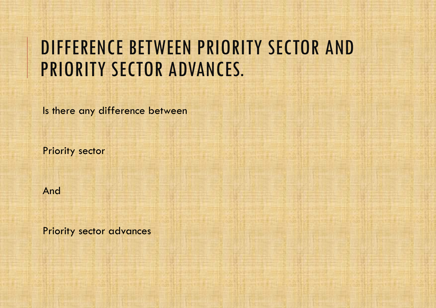## DIFFERENCE BETWEEN PRIORITY SECTOR AND PRIORITY SECTOR ADVANCES.

Is there any difference between

Priority sector

And

Priority sector advances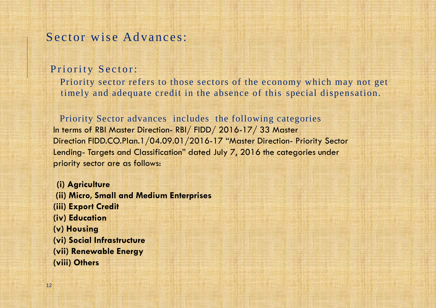#### Sector wise Advances:

#### Priority Sector:

Priority sector refers to those sectors of the economy which may not get timely and adequate credit in the absence of this special dispensation.

Priority Sector advances includes the following categories In terms of RBI Master Direction- RBI/ FIDD/ 2016-17/ 33 Master Direction FIDD.CO.Plan.1/04.09.01/2016-17 "Master Direction- Priority Sector Lending- Targets and Classification" dated July 7, 2016 the categories under priority sector are as follows:

**(i) Agriculture (ii) Micro, Small and Medium Enterprises (iii) Export Credit (iv) Education (v) Housing (vi) Social Infrastructure (vii) Renewable Energy (viii) Others**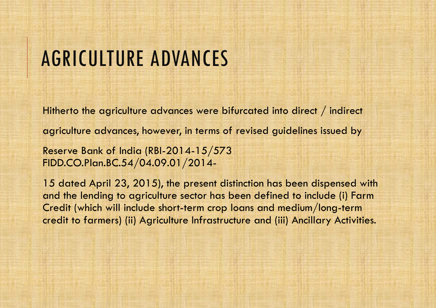Hitherto the agriculture advances were bifurcated into direct / indirect agriculture advances, however, in terms of revised guidelines issued by Reserve Bank of India (RBI-2014-15/573 FIDD.CO.Plan.BC.54/04.09.01/2014-

15 dated April 23, 2015), the present distinction has been dispensed with and the lending to agriculture sector has been defined to include (i) Farm Credit (which will include short-term crop loans and medium/long-term credit to farmers) (ii) Agriculture Infrastructure and (iii) Ancillary Activities.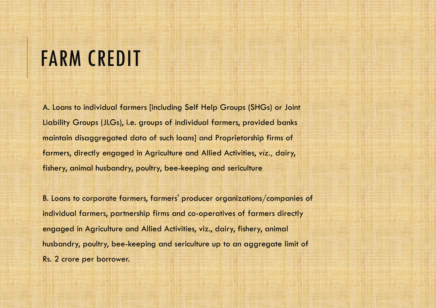# FARM CREDIT

A. Loans to individual farmers [including Self Help Groups (SHGs) or Joint Liability Groups (JLGs), i.e. groups of individual farmers, provided banks maintain disaggregated data of such loans] and Proprietorship firms of farmers, directly engaged in Agriculture and Allied Activities, *viz.,* dairy, fishery, animal husbandry, poultry, bee-keeping and sericulture

B. Loans to corporate farmers, farmers' producer organizations/companies of individual farmers, partnership firms and co-operatives of farmers directly engaged in Agriculture and Allied Activities, viz., dairy, fishery, animal husbandry, poultry, bee-keeping and sericulture up to an aggregate limit of Rs. 2 crore per borrower.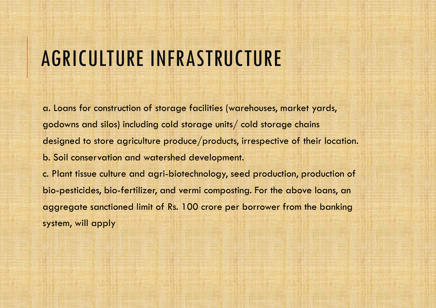# AGRICULTURE INFRASTRUCTURE

a. Loans for construction of storage facilities (warehouses, market yards, godowns and silos) including cold storage units/ cold storage chains designed to store agriculture produce/products, irrespective of their location. b. Soil conservation and watershed development. c. Plant tissue culture and agri-biotechnology, seed production, production of bio-pesticides, bio-fertilizer, and vermi composting. For the above loans, an aggregate sanctioned limit of Rs. 100 crore per borrower from the banking system, will apply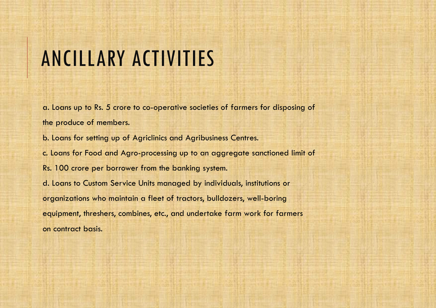# ANCILLARY ACTIVITIES

a. Loans up to Rs. 5 crore to co-operative societies of farmers for disposing of the produce of members.

b. Loans for setting up of Agriclinics and Agribusiness Centres.

c. Loans for Food and Agro-processing up to an aggregate sanctioned limit of

Rs. 100 crore per borrower from the banking system.

d. Loans to Custom Service Units managed by individuals, institutions or organizations who maintain a fleet of tractors, bulldozers, well-boring equipment, threshers, combines, etc., and undertake farm work for farmers on contract basis.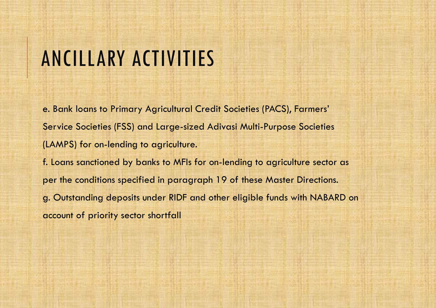# ANCILLARY ACTIVITIES

e. Bank loans to Primary Agricultural Credit Societies (PACS), Farmers' Service Societies (FSS) and Large-sized Adivasi Multi-Purpose Societies (LAMPS) for on-lending to agriculture. f. Loans sanctioned by banks to MFIs for on-lending to agriculture sector as per the conditions specified in paragraph 19 of these Master Directions. g. Outstanding deposits under RIDF and other eligible funds with NABARD on account of priority sector shortfall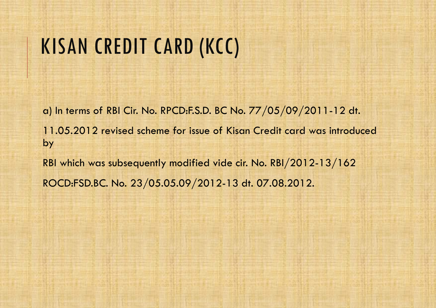# KISAN CREDIT CARD (KCC)

a) In terms of RBI Cir. No. RPCD:F.S.D. BC No. 77/05/09/2011-12 dt. 11.05.2012 revised scheme for issue of Kisan Credit card was introduced by RBI which was subsequently modified vide cir. No. RBI/2012-13/162 ROCD:FSD.BC. No. 23/05.05.09/2012-13 dt. 07.08.2012.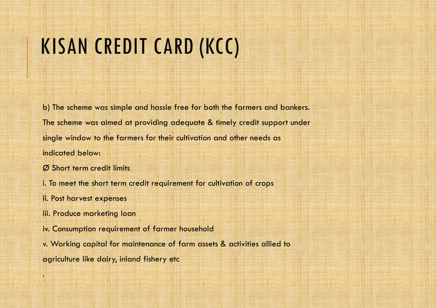# KISAN CREDIT CARD (KCC)

b) The scheme was simple and hassle free for both the farmers and bankers. The scheme was aimed at providing adequate & timely credit support under single window to the farmers for their cultivation and other needs as indicated below:

Ø Short term credit limits

i. To meet the short term credit requirement for cultivation of crops

ii. Post harvest expenses

.

iii. Produce marketing loan

iv. Consumption requirement of farmer household

v. Working capital for maintenance of farm assets & activities allied to agriculture like dairy, inland fishery etc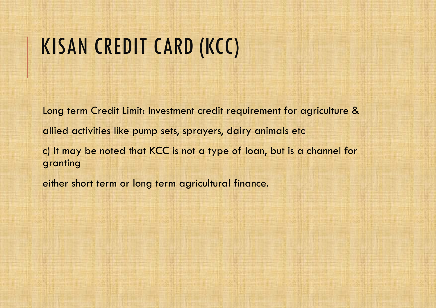# KISAN CREDIT CARD (KCC)

Long term Credit Limit: Investment credit requirement for agriculture & allied activities like pump sets, sprayers, dairy animals etc c) It may be noted that KCC is not a type of loan, but is a channel for granting

either short term or long term agricultural finance.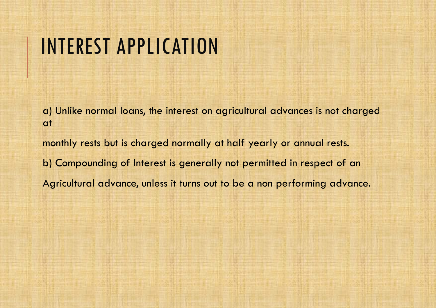## INTEREST APPLICATION

a) Unlike normal loans, the interest on agricultural advances is not charged at

monthly rests but is charged normally at half yearly or annual rests. b) Compounding of Interest is generally not permitted in respect of an Agricultural advance, unless it turns out to be a non performing advance.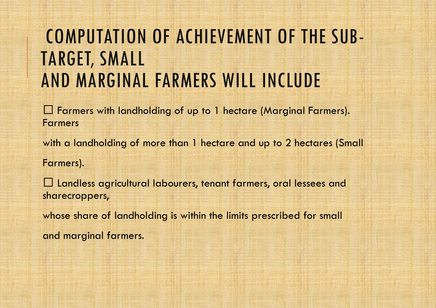## COMPUTATION OF ACHIEVEMENT OF THE SUB-TARGET, SMALL AND MARGINAL FARMERS WILL INCLUDE

Farmers with landholding of up to 1 hectare (Marginal Farmers). Farmers

with a landholding of more than 1 hectare and up to 2 hectares (Small

Farmers).

Landless agricultural labourers, tenant farmers, oral lessees and sharecroppers,

whose share of landholding is within the limits prescribed for small and marginal farmers.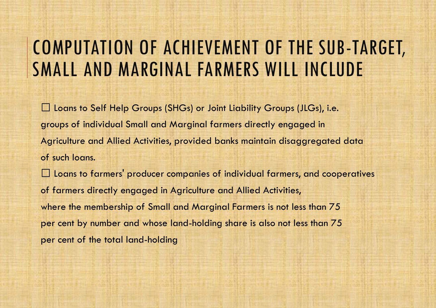### COMPUTATION OF ACHIEVEMENT OF THE SUB-TARGET, SMALL AND MARGINAL FARMERS WILL INCLUDE

□ Loans to Self Help Groups (SHGs) or Joint Liability Groups (JLGs), i.e. groups of individual Small and Marginal farmers directly engaged in Agriculture and Allied Activities, provided banks maintain disaggregated data of such loans.

 $\Box$  Loans to farmers' producer companies of individual farmers, and cooperatives of farmers directly engaged in Agriculture and Allied Activities, where the membership of Small and Marginal Farmers is not less than 75 per cent by number and whose land-holding share is also not less than 75 per cent of the total land-holding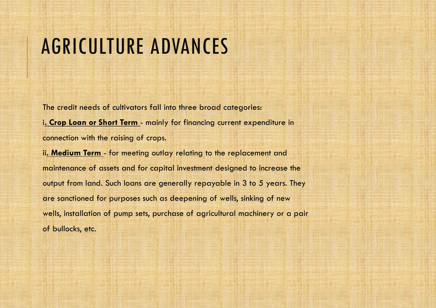The credit needs of cultivators fall into three broad categories: i**. Crop Loan or Short Term** - mainly for financing current expenditure in connection with the raising of crops.

ii**. Medium Term** - for meeting outlay relating to the replacement and maintenance of assets and for capital investment designed to increase the output from land. Such loans are generally repayable in 3 to 5 years. They are sanctioned for purposes such as deepening of wells, sinking of new wells, installation of pump sets, purchase of agricultural machinery or a pair of bullocks, etc.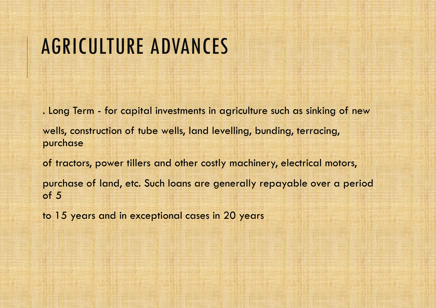. Long Term - for capital investments in agriculture such as sinking of new wells, construction of tube wells, land levelling, bunding, terracing, purchase of tractors, power tillers and other costly machinery, electrical motors,

purchase of land, etc. Such loans are generally repayable over a period of 5

to 15 years and in exceptional cases in 20 years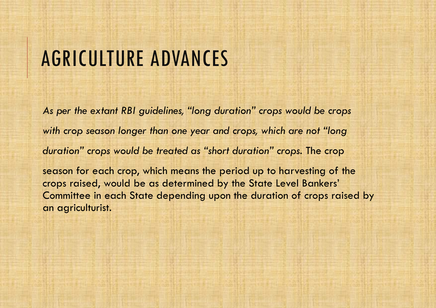*As per the extant RBI guidelines, "long duration" crops would be crops with crop season longer than one year and crops, which are not "long duration" crops would be treated as "short duration" crops.* The crop

season for each crop, which means the period up to harvesting of the crops raised, would be as determined by the State Level Bankers' Committee in each State depending upon the duration of crops raised by an agriculturist.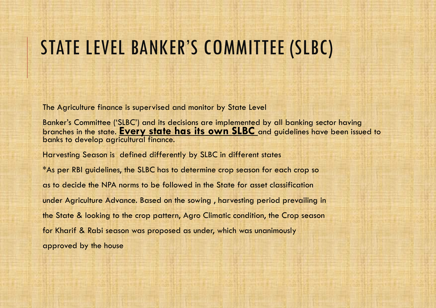## STATE LEVEL BANKER'S COMMITTEE (SLBC)

The Agriculture finance is supervised and monitor by State Level

Banker's Committee ('SLBC') and its decisions are implemented by all banking sector having branches in the state. **Every state has its own SLBC** and guidelines have been issued to banks to develop agricultural finance.

Harvesting Season is defined differently by SLBC in different states

\*As per RBI guidelines, the SLBC has to determine crop season for each crop so as to decide the NPA norms to be followed in the State for asset classification under Agriculture Advance. Based on the sowing , harvesting period prevailing in the State & looking to the crop pattern, Agro Climatic condition, the Crop season for Kharif & Rabi season was proposed as under, which was unanimously approved by the house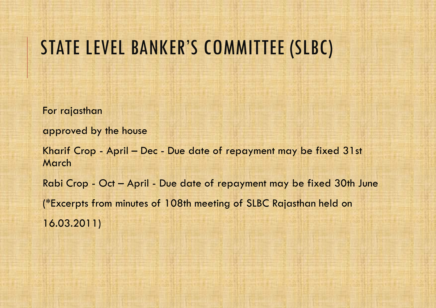### STATE LEVEL BANKER'S COMMITTEE (SLBC)

For rajasthan

approved by the house

Kharif Crop - April – Dec - Due date of repayment may be fixed 31st March

Rabi Crop - Oct – April - Due date of repayment may be fixed 30th June (\*Excerpts from minutes of 108th meeting of SLBC Rajasthan held on 16.03.2011)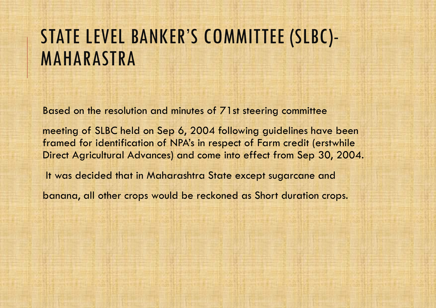## STATE LEVEL BANKER'S COMMITTEE (SLBC)- MAHARASTRA

Based on the resolution and minutes of 71st steering committee

meeting of SLBC held on Sep 6, 2004 following guidelines have been framed for identification of NPA's in respect of Farm credit (erstwhile Direct Agricultural Advances) and come into effect from Sep 30, 2004.

It was decided that in Maharashtra State except sugarcane and

banana, all other crops would be reckoned as Short duration crops.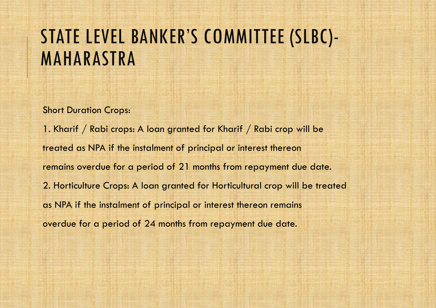## STATE LEVEL BANKER'S COMMITTEE (SLBC)- MAHARASTRA

Short Duration Crops:

1. Kharif / Rabi crops: A loan granted for Kharif / Rabi crop will be treated as NPA if the instalment of principal or interest thereon remains overdue for a period of 21 months from repayment due date. 2. Horticulture Crops: A loan granted for Horticultural crop will be treated as NPA if the instalment of principal or interest thereon remains overdue for a period of 24 months from repayment due date.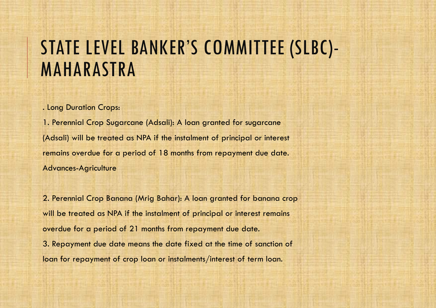. Long Duration Crops:

1. Perennial Crop Sugarcane (Adsali): A loan granted for sugarcane (Adsali) will be treated as NPA if the instalment of principal or interest remains overdue for a period of 18 months from repayment due date. Advances-Agriculture

2. Perennial Crop Banana (Mrig Bahar): A loan granted for banana crop will be treated as NPA if the instalment of principal or interest remains overdue for a period of 21 months from repayment due date. 3. Repayment due date means the date fixed at the time of sanction of loan for repayment of crop loan or instalments/interest of term loan.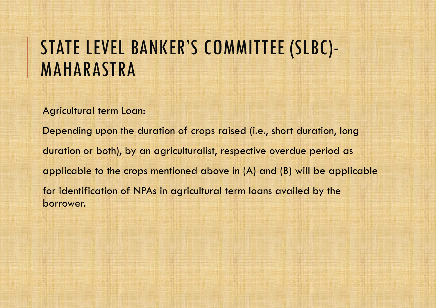Agricultural term Loan:

Depending upon the duration of crops raised (i.e., short duration, long duration or both), by an agriculturalist, respective overdue period as applicable to the crops mentioned above in (A) and (B) will be applicable for identification of NPAs in agricultural term loans availed by the borrower.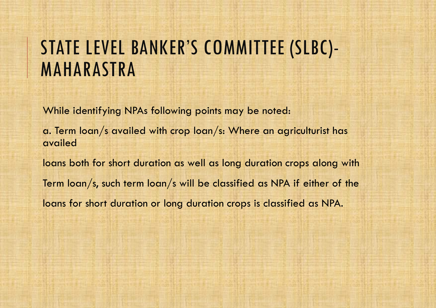While identifying NPAs following points may be noted:

a. Term loan/s availed with crop loan/s: Where an agriculturist has availed

loans both for short duration as well as long duration crops along with Term loan/s, such term loan/s will be classified as NPA if either of the loans for short duration or long duration crops is classified as NPA.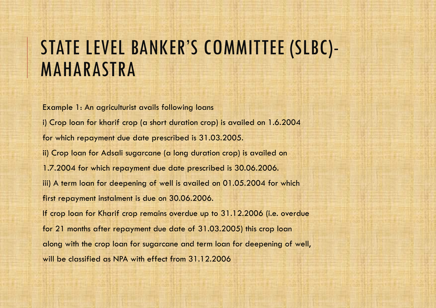Example 1: An agriculturist avails following loans i) Crop loan for kharif crop (a short duration crop) is availed on 1.6.2004 for which repayment due date prescribed is 31.03.2005. ii) Crop loan for Adsali sugarcane (a long duration crop) is availed on 1.7.2004 for which repayment due date prescribed is 30.06.2006. iii) A term loan for deepening of well is availed on 01.05.2004 for which first repayment instalment is due on 30.06.2006. If crop loan for Kharif crop remains overdue up to 31.12.2006 (i.e. overdue for 21 months after repayment due date of 31.03.2005) this crop loan along with the crop loan for sugarcane and term loan for deepening of well, will be classified as NPA with effect from 31.12.2006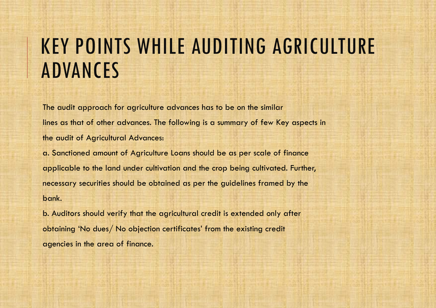The audit approach for agriculture advances has to be on the similar lines as that of other advances. The following is a summary of few Key aspects in the audit of Agricultural Advances:

a. Sanctioned amount of Agriculture Loans should be as per scale of finance applicable to the land under cultivation and the crop being cultivated. Further, necessary securities should be obtained as per the guidelines framed by the bank.

b. Auditors should verify that the agricultural credit is extended only after obtaining 'No dues/ No objection certificates' from the existing credit agencies in the area of finance.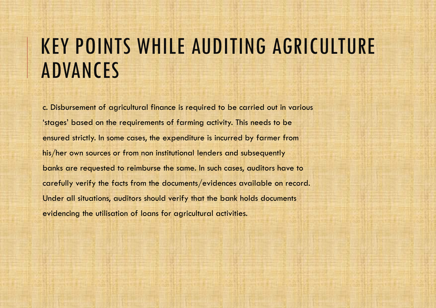c. Disbursement of agricultural finance is required to be carried out in various 'stages' based on the requirements of farming activity. This needs to be ensured strictly. In some cases, the expenditure is incurred by farmer from his/her own sources or from non institutional lenders and subsequently banks are requested to reimburse the same. In such cases, auditors have to carefully verify the facts from the documents/evidences available on record. Under all situations, auditors should verify that the bank holds documents evidencing the utilisation of loans for agricultural activities.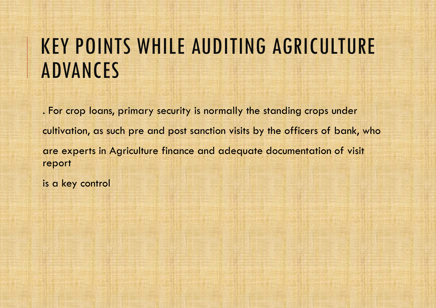. For crop loans, primary security is normally the standing crops under cultivation, as such pre and post sanction visits by the officers of bank, who are experts in Agriculture finance and adequate documentation of visit report

is a key control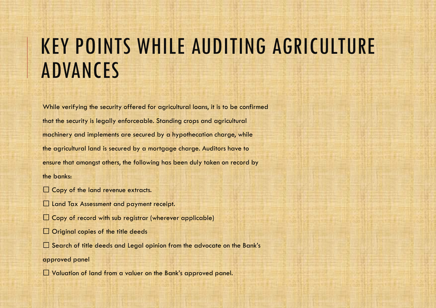While verifying the security offered for agricultural loans, it is to be confirmed that the security is legally enforceable. Standing crops and agricultural machinery and implements are secured by a hypothecation charge, while the agricultural land is secured by a mortgage charge. Auditors have to ensure that amongst others, the following has been duly taken on record by the banks:

- $\Box$  Copy of the land revenue extracts.
- $\square$  Land Tax Assessment and payment receipt.
- $\square$  Copy of record with sub registrar (wherever applicable)
- $\Box$  Original copies of the title deeds
- $\Box$  Search of title deeds and Legal opinion from the advocate on the Bank's
- approved panel
- $\square$  Valuation of land from a valuer on the Bank's approved panel.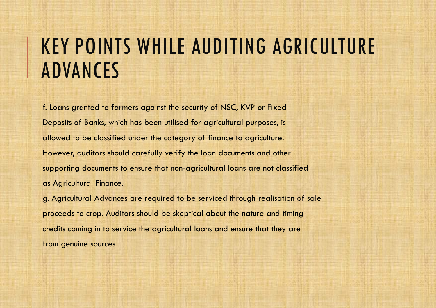f. Loans granted to farmers against the security of NSC, KVP or Fixed Deposits of Banks, which has been utilised for agricultural purposes, is allowed to be classified under the category of finance to agriculture. However, auditors should carefully verify the loan documents and other supporting documents to ensure that non-agricultural loans are not classified as Agricultural Finance.

g. Agricultural Advances are required to be serviced through realisation of sale proceeds to crop. Auditors should be skeptical about the nature and timing credits coming in to service the agricultural loans and ensure that they are from genuine sources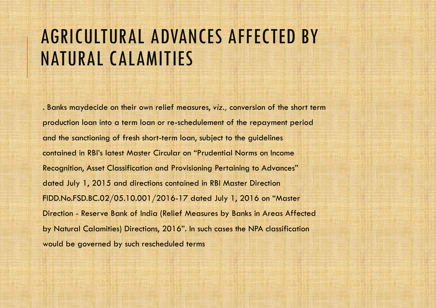#### AGRICULTURAL ADVANCES AFFECTED BY NATURAL CALAMITIES

. Banks maydecide on their own relief measures, *viz.,* conversion of the short term production loan into a term loan or re-schedulement of the repayment period and the sanctioning of fresh short-term loan, subject to the guidelines contained in RBI's latest Master Circular on "Prudential Norms on Income Recognition, Asset Classification and Provisioning Pertaining to Advances" dated July 1, 2015 and directions contained in RBI Master Direction FIDD.No.FSD.BC.02/05.10.001/2016-17 dated July 1, 2016 on "Master Direction - Reserve Bank of India (Relief Measures by Banks in Areas Affected by Natural Calamities) Directions, 2016". In such cases the NPA classification would be governed by such rescheduled terms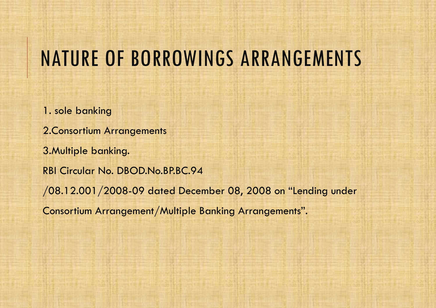### NATURE OF BORROWINGS ARRANGEMENTS

1. sole banking 2.Consortium Arrangements 3.Multiple banking. RBI Circular No. DBOD.No.BP.BC.94 /08.12.001/2008-09 dated December 08, 2008 on "Lending under Consortium Arrangement/Multiple Banking Arrangements".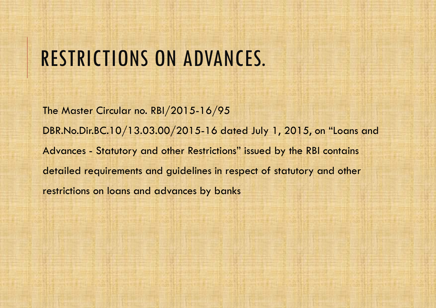### RESTRICTIONS ON ADVANCES.

The Master Circular no. RBI/2015-16/95 DBR.No.Dir.BC.10/13.03.00/2015-16 dated July 1, 2015, on "Loans and Advances - Statutory and other Restrictions" issued by the RBI contains detailed requirements and guidelines in respect of statutory and other restrictions on loans and advances by banks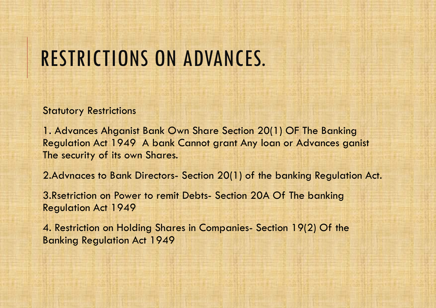## RESTRICTIONS ON ADVANCES.

**Statutory Restrictions** 

1. Advances Ahganist Bank Own Share Section 20(1) OF The Banking Regulation Act 1949 A bank Cannot grant Any loan or Advances ganist The security of its own Shares.

2.Advnaces to Bank Directors- Section 20(1) of the banking Regulation Act.

3.Rsetriction on Power to remit Debts- Section 20A Of The banking Regulation Act 1949

4. Restriction on Holding Shares in Companies- Section 19(2) Of the Banking Regulation Act 1949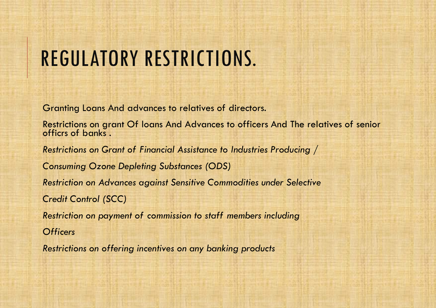# REGULATORY RESTRICTIONS.

Granting Loans And advances to relatives of directors.

Restrictions on grant Of loans And Advances to officers And The relatives of senior officrs of banks .

*Restrictions on Grant of Financial Assistance to Industries Producing /*

*Consuming Ozone Depleting Substances (ODS)*

*Restriction on Advances against Sensitive Commodities under Selective*

*Credit Control (SCC)*

*Restriction on payment of commission to staff members including*

*Officers*

*Restrictions on offering incentives on any banking products*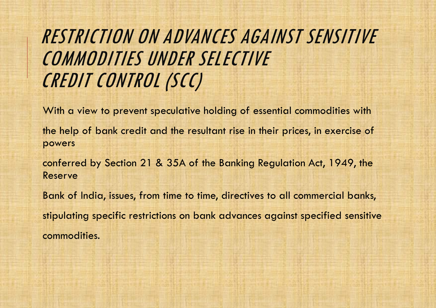### RESTRICTION ON ADVANCES AGAINST SENSITIVE COMMODITIES UNDER SELECTIVE CREDIT CONTROL (SCC)

With a view to prevent speculative holding of essential commodities with the help of bank credit and the resultant rise in their prices, in exercise of powers

conferred by Section 21 & 35A of the Banking Regulation Act, 1949, the Reserve

Bank of India, issues, from time to time, directives to all commercial banks, stipulating specific restrictions on bank advances against specified sensitive commodities.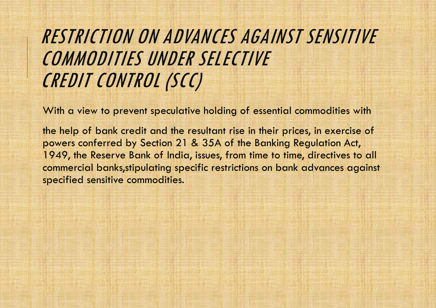### RESTRICTION ON ADVANCES AGAINST SENSITIVE COMMODITIES UNDER SELECTIVE CREDIT CONTROL (SCC)

With a view to prevent speculative holding of essential commodities with

the help of bank credit and the resultant rise in their prices, in exercise of powers conferred by Section 21 & 35A of the Banking Regulation Act, 1949, the Reserve Bank of India, issues, from time to time, directives to all commercial banks,stipulating specific restrictions on bank advances against specified sensitive commodities.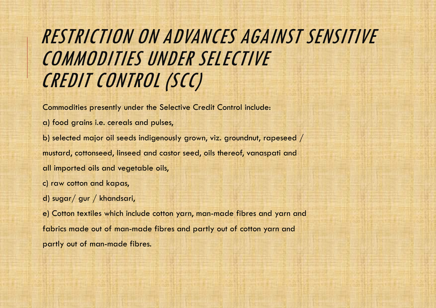### RESTRICTION ON ADVANCES AGAINST SENSITIVE COMMODITIES UNDER SELECTIVE CREDIT CONTROL (SCC)

Commodities presently under the Selective Credit Control include:

- a) food grains i.e. cereals and pulses,
- b) selected major oil seeds indigenously grown, viz. groundnut, rapeseed / mustard, cottonseed, linseed and castor seed, oils thereof, vanaspati and
- all imported oils and vegetable oils,
- c) raw cotton and kapas,
- d) sugar/ gur / khandsari,

e) Cotton textiles which include cotton yarn, man-made fibres and yarn and fabrics made out of man-made fibres and partly out of cotton yarn and partly out of man-made fibres.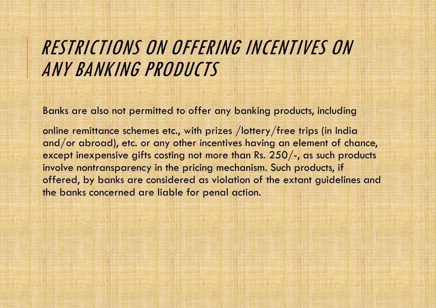#### RESTRICTIONS ON OFFERING INCENTIVES ON ANY BANKING PRODUCTS

Banks are also not permitted to offer any banking products, including

online remittance schemes etc., with prizes /lottery/free trips (in India and/or abroad), etc. or any other incentives having an element of chance, except inexpensive gifts costing not more than Rs. 250/-, as such products involve nontransparency in the pricing mechanism. Such products, if offered, by banks are considered as violation of the extant guidelines and the banks concerned are liable for penal action.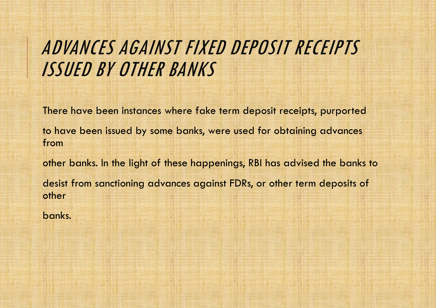### ADVANCES AGAINST FIXED DEPOSIT RECEIPTS ISSUED BY OTHER BANKS

There have been instances where fake term deposit receipts, purported

to have been issued by some banks, were used for obtaining advances from

other banks. In the light of these happenings, RBI has advised the banks to desist from sanctioning advances against FDRs, or other term deposits of other

banks.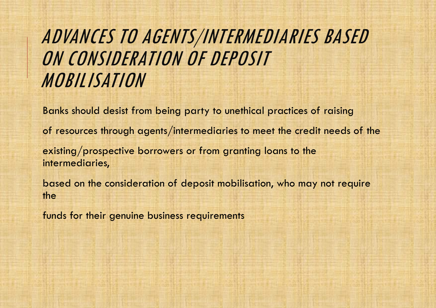### ADVANCES TO AGENTS/INTERMEDIARIES BASED ON CONSIDERATION OF DEPOSIT MOBILISATION

Banks should desist from being party to unethical practices of raising

of resources through agents/intermediaries to meet the credit needs of the

existing/prospective borrowers or from granting loans to the intermediaries,

based on the consideration of deposit mobilisation, who may not require the

funds for their genuine business requirements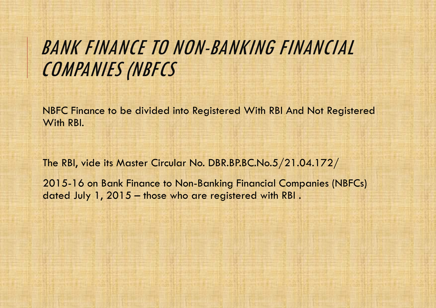### BANK FINANCE TO NON-BANKING FINANCIAL COMPANIES (NBFCS

NBFC Finance to be divided into Registered With RBI And Not Registered With RBI.

The RBI, vide its Master Circular No. DBR.BP.BC.No.5/21.04.172/

2015-16 on Bank Finance to Non-Banking Financial Companies (NBFCs) dated July 1, 2015 – those who are registered with RBI .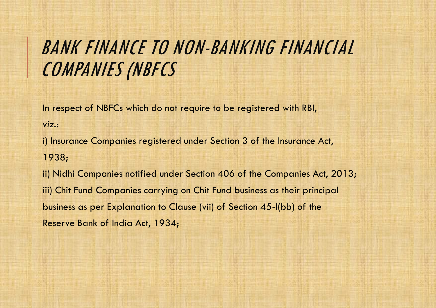### BANK FINANCE TO NON-BANKING FINANCIAL COMPANIES (NBFCS

In respect of NBFCs which do not require to be registered with RBI,

*viz.*:

i) Insurance Companies registered under Section 3 of the Insurance Act, 1938;

ii) Nidhi Companies notified under Section 406 of the Companies Act, 2013; iii) Chit Fund Companies carrying on Chit Fund business as their principal business as per Explanation to Clause (vii) of Section 45-I(bb) of the Reserve Bank of India Act, 1934;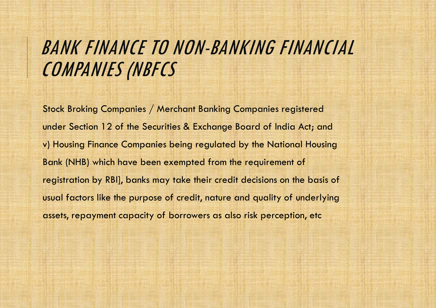### BANK FINANCE TO NON-BANKING FINANCIAL COMPANIES (NBFCS

Stock Broking Companies / Merchant Banking Companies registered under Section 12 of the Securities & Exchange Board of India Act; and v) Housing Finance Companies being regulated by the National Housing Bank (NHB) which have been exempted from the requirement of registration by RBI], banks may take their credit decisions on the basis of usual factors like the purpose of credit, nature and quality of underlying assets, repayment capacity of borrowers as also risk perception, etc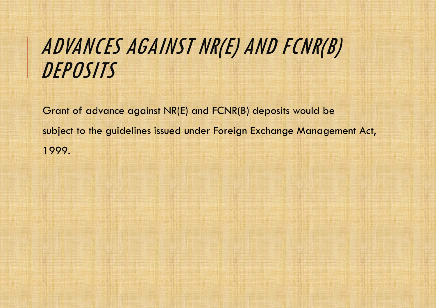# ADVANCES AGAINST NR(E) AND FCNR(B) **DEPOSITS**

Grant of advance against NR(E) and FCNR(B) deposits would be subject to the guidelines issued under Foreign Exchange Management Act, 1999.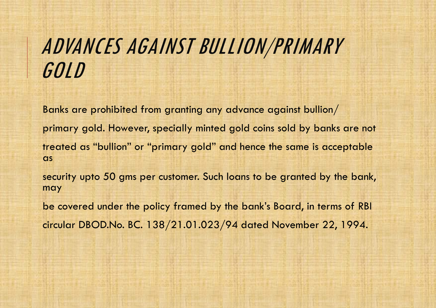# ADVANCES AGAINST BULLION/PRIMARY GOLD

Banks are prohibited from granting any advance against bullion/ primary gold. However, specially minted gold coins sold by banks are not treated as "bullion" or "primary gold" and hence the same is acceptable **as** 

security upto 50 gms per customer. Such loans to be granted by the bank, may

be covered under the policy framed by the bank's Board, in terms of RBI circular DBOD.No. BC. 138/21.01.023/94 dated November 22, 1994.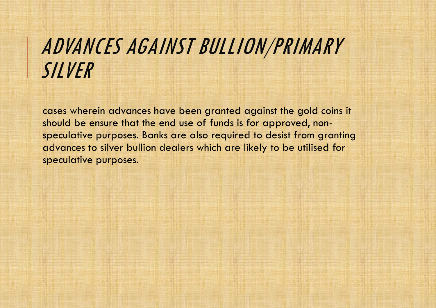# ADVANCES AGAINST BULLION/PRIMARY SILVER

cases wherein advances have been granted against the gold coins it should be ensure that the end use of funds is for approved, nonspeculative purposes. Banks are also required to desist from granting advances to silver bullion dealers which are likely to be utilised for speculative purposes.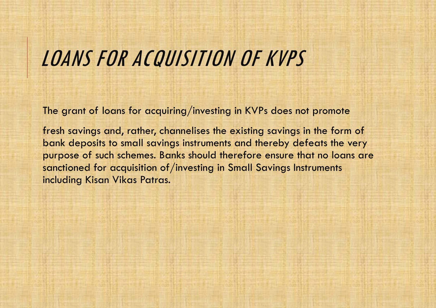## LOANS FOR ACQUISITION OF KVPS

The grant of loans for acquiring/investing in KVPs does not promote

fresh savings and, rather, channelises the existing savings in the form of bank deposits to small savings instruments and thereby defeats the very purpose of such schemes. Banks should therefore ensure that no loans are sanctioned for acquisition of/investing in Small Savings Instruments including Kisan Vikas Patras.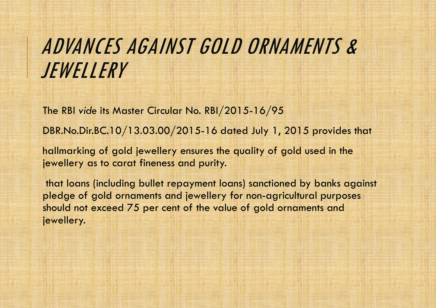# ADVANCES AGAINST GOLD ORNAMENTS & JEWELLERY

The RBI *vide* its Master Circular No. RBI/2015-16/95

DBR.No.Dir.BC.10/13.03.00/2015-16 dated July 1, 2015 provides that

hallmarking of gold jewellery ensures the quality of gold used in the jewellery as to carat fineness and purity.

that loans (including bullet repayment loans) sanctioned by banks against pledge of gold ornaments and jewellery for non-agricultural purposes should not exceed 75 per cent of the value of gold ornaments and jewellery.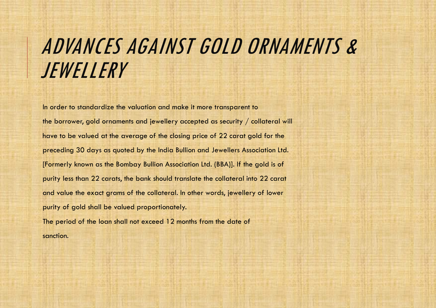# ADVANCES AGAINST GOLD ORNAMENTS & JEWELLERY

In order to standardize the valuation and make it more transparent to the borrower, gold ornaments and jewellery accepted as security / collateral will have to be valued at the average of the closing price of 22 carat gold for the preceding 30 days as quoted by the India Bullion and Jewellers Association Ltd. [Formerly known as the Bombay Bullion Association Ltd. (BBA)]. If the gold is of purity less than 22 carats, the bank should translate the collateral into 22 carat and value the exact grams of the collateral. In other words, jewellery of lower purity of gold shall be valued proportionately. The period of the loan shall not exceed 12 months from the date of sanction.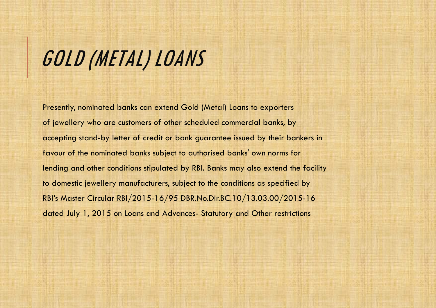# GOLD (METAL) LOANS

Presently, nominated banks can extend Gold (Metal) Loans to exporters of jewellery who are customers of other scheduled commercial banks, by accepting stand-by letter of credit or bank guarantee issued by their bankers in favour of the nominated banks subject to authorised banks' own norms for lending and other conditions stipulated by RBI. Banks may also extend the facility to domestic jewellery manufacturers, subject to the conditions as specified by RBI's Master Circular RBI/2015-16/95 DBR.No.Dir.BC.10/13.03.00/2015-16 dated July 1, 2015 on Loans and Advances- Statutory and Other restrictions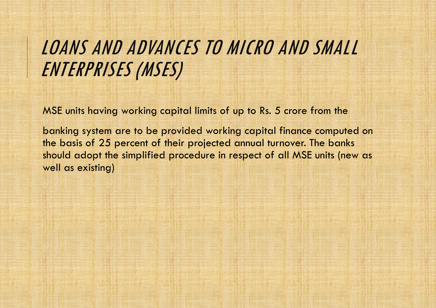### LOANS AND ADVANCES TO MICRO AND SMALL ENTERPRISES (MSES)

MSE units having working capital limits of up to Rs. 5 crore from the

banking system are to be provided working capital finance computed on the basis of 25 percent of their projected annual turnover. The banks should adopt the simplified procedure in respect of all MSE units (new as well as existing)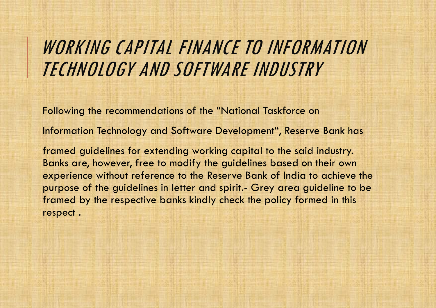#### WORKING CAPITAL FINANCE TO INFORMATION TECHNOLOGY AND SOFTWARE INDUSTRY

Following the recommendations of the "National Taskforce on

Information Technology and Software Development", Reserve Bank has

framed guidelines for extending working capital to the said industry. Banks are, however, free to modify the guidelines based on their own experience without reference to the Reserve Bank of India to achieve the purpose of the guidelines in letter and spirit.- Grey area guideline to be framed by the respective banks kindly check the policy formed in this respect .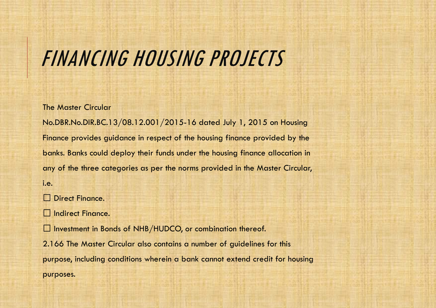### FINANCING HOUSING PROJECTS

The Master Circular

No.DBR.No.DIR.BC.13/08.12.001/2015-16 dated July 1, 2015 on Housing Finance provides guidance in respect of the housing finance provided by the banks. Banks could deploy their funds under the housing finance allocation in any of the three categories as per the norms provided in the Master Circular, i.e.

Direct Finance. U I

Indirect Finance.

 $\square$  Investment in Bonds of NHB/HUDCO, or combination thereof.

2.166 The Master Circular also contains a number of guidelines for this purpose, including conditions wherein a bank cannot extend credit for housing purposes.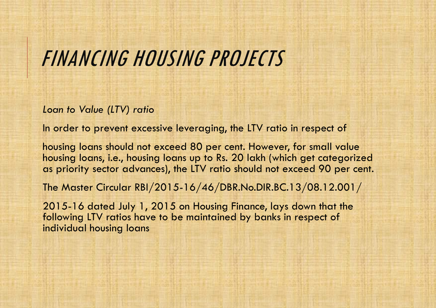### FINANCING HOUSING PROJECTS

*Loan to Value (LTV) ratio*

In order to prevent excessive leveraging, the LTV ratio in respect of

housing loans should not exceed 80 per cent. However, for small value housing loans, i.e., housing loans up to Rs. 20 lakh (which get categorized as priority sector advances), the LTV ratio should not exceed 90 per cent.

The Master Circular RBI/2015-16/46/DBR.No.DIR.BC.13/08.12.001/

2015-16 dated July 1, 2015 on Housing Finance, lays down that the following LTV ratios have to be maintained by banks in respect of individual housing loans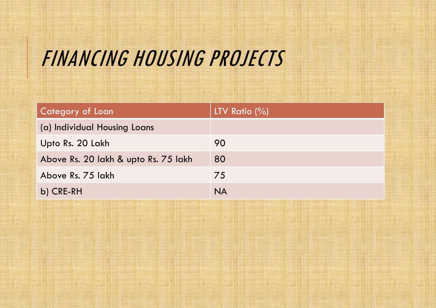# FINANCING HOUSING PROJECTS

| <b>Category of Loan</b>              | LTV Ratio $(\% )$ |
|--------------------------------------|-------------------|
| (a) Individual Housing Loans         |                   |
| Upto Rs. 20 Lakh                     | 90                |
| Above Rs. 20 lakh & upto Rs. 75 lakh | 80                |
| Above Rs. 75 lakh                    | 75                |
| b) CRE-RH                            | <b>NA</b>         |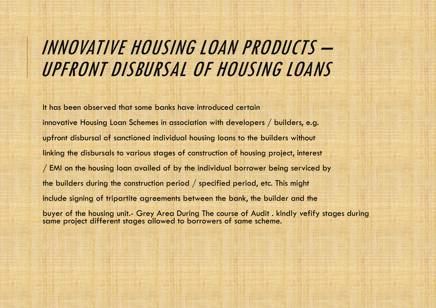#### INNOVATIVE HOUSING LOAN PRODUCTS – UPFRONT DISBURSAL OF HOUSING LOANS

It has been observed that some banks have introduced certain innovative Housing Loan Schemes in association with developers / builders, e.g. upfront disbursal of sanctioned individual housing loans to the builders without linking the disbursals to various stages of construction of housing project, interest / EMI on the housing loan availed of by the individual borrower being serviced by the builders during the construction period / specified period, etc. This might include signing of tripartite agreements between the bank, the builder and the buyer of the housing unit.- Grey Area During The course of Audit . kIndly vefify stages during same project different stages allowed to borrowers of same scheme.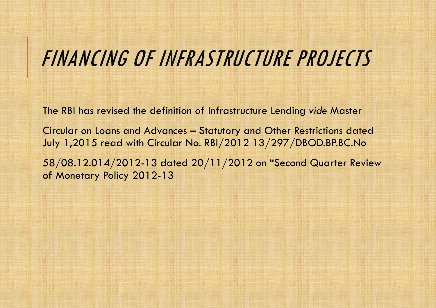### FINANCING OF INFRASTRUCTURE PROJECTS

The RBI has revised the definition of Infrastructure Lending *vide* Master

Circular on Loans and Advances – Statutory and Other Restrictions dated July 1,2015 read with Circular No. RBI/2012 13/297/DBOD.BP.BC.No

58/08.12.014/2012-13 dated 20/11/2012 on "Second Quarter Review of Monetary Policy 2012-13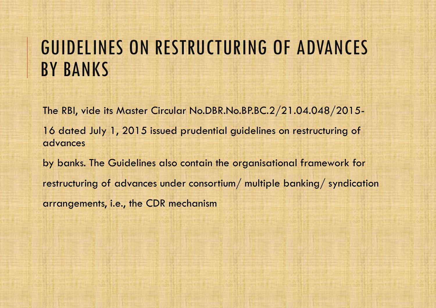### GUIDELINES ON RESTRUCTURING OF ADVANCES BY BANKS

The RBI, vide its Master Circular No.DBR.No.BP.BC.2/21.04.048/2015- 16 dated July 1, 2015 issued prudential guidelines on restructuring of advances by banks. The Guidelines also contain the organisational framework for restructuring of advances under consortium/ multiple banking/ syndication arrangements, i.e., the CDR mechanism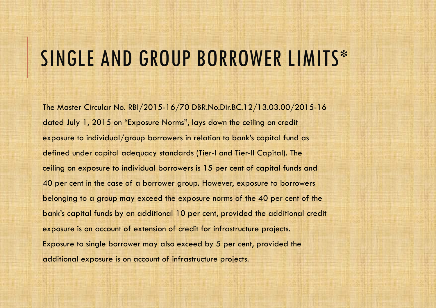### SINGLE AND GROUP BORROWER LIMITS\*

The Master Circular No. RBI/2015-16/70 DBR.No.Dir.BC.12/13.03.00/2015-16 dated July 1, 2015 on "Exposure Norms", lays down the ceiling on credit exposure to individual/group borrowers in relation to bank's capital fund as defined under capital adequacy standards (Tier-I and Tier-II Capital). The ceiling on exposure to individual borrowers is 15 per cent of capital funds and 40 per cent in the case of a borrower group. However, exposure to borrowers belonging to a group may exceed the exposure norms of the 40 per cent of the bank's capital funds by an additional 10 per cent, provided the additional credit exposure is on account of extension of credit for infrastructure projects. Exposure to single borrower may also exceed by 5 per cent, provided the additional exposure is on account of infrastructure projects.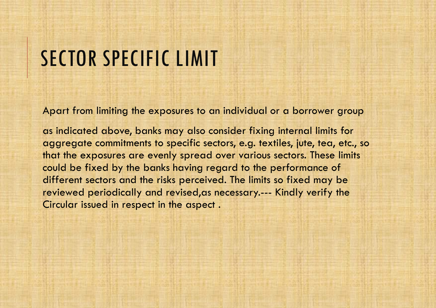### SECTOR SPECIFIC LIMIT

Apart from limiting the exposures to an individual or a borrower group

as indicated above, banks may also consider fixing internal limits for aggregate commitments to specific sectors, e.g. textiles, jute, tea, etc., so that the exposures are evenly spread over various sectors. These limits could be fixed by the banks having regard to the performance of different sectors and the risks perceived. The limits so fixed may be reviewed periodically and revised,as necessary.--- Kindly verify the Circular issued in respect in the aspect .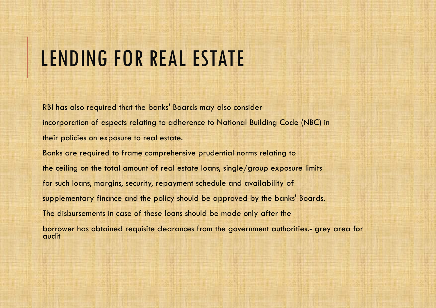### LENDING FOR REAL ESTATE

RBI has also required that the banks' Boards may also consider incorporation of aspects relating to adherence to National Building Code (NBC) in their policies on exposure to real estate. Banks are required to frame comprehensive prudential norms relating to the ceiling on the total amount of real estate loans, single/group exposure limits for such loans, margins, security, repayment schedule and availability of supplementary finance and the policy should be approved by the banks' Boards. The disbursements in case of these loans should be made only after the borrower has obtained requisite clearances from the government authorities.- grey area for audit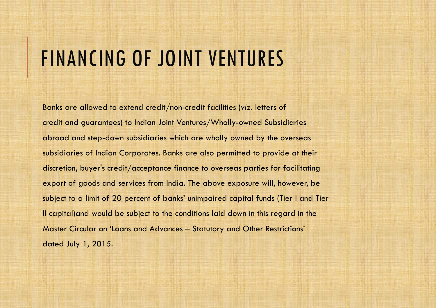### FINANCING OF JOINT VENTURES

Banks are allowed to extend credit/non-credit facilities (*viz*. letters of credit and guarantees) to Indian Joint Ventures/Wholly-owned Subsidiaries abroad and step-down subsidiaries which are wholly owned by the overseas subsidiaries of Indian Corporates. Banks are also permitted to provide at their discretion, buyer's credit/acceptance finance to overseas parties for facilitating export of goods and services from India. The above exposure will, however, be subject to a limit of 20 percent of banks' unimpaired capital funds (Tier I and Tier II capital)and would be subject to the conditions laid down in this regard in the Master Circular on 'Loans and Advances – Statutory and Other Restrictions' dated July 1, 2015.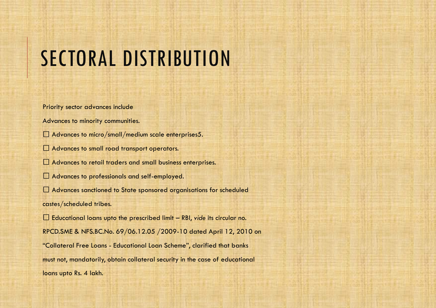# SECTORAL DISTRIBUTION

Priority sector advances include

Advances to minority communities.

 $\square$  Advances to micro/small/medium scale enterprises5.

□ Advances to small road transport operators.

Advances to retail traders and small business enterprises.

□ Advances to professionals and self-employed.

Advances sanctioned to State sponsored organisations for scheduled castes/scheduled tribes.

 $\square$  Educational loans upto the prescribed limit  $-$  RBI, vide its circular no. RPCD.SME & NFS.BC.No. 69/06.12.05 /2009-10 dated April 12, 2010 on "Collateral Free Loans - Educational Loan Scheme", clarified that banks must not, mandatorily, obtain collateral security in the case of educational loans upto Rs. 4 lakh.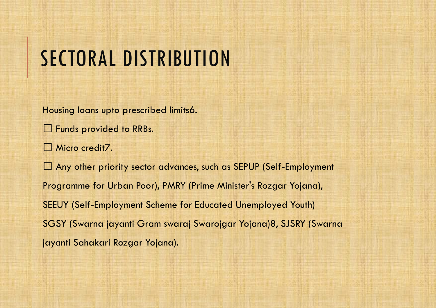## SECTORAL DISTRIBUTION

Housing loans upto prescribed limits6.

 $\square$  Funds provided to RRBs.

Micro credit<sub>7</sub>.

Any other priority sector advances, such as SEPUP (Self-Employment Programme for Urban Poor), PMRY (Prime Minister's Rozgar Yojana), SEEUY (Self-Employment Scheme for Educated Unemployed Youth) SGSY (Swarna jayanti Gram swaraj Swarojgar Yojana)8, SJSRY (Swarna jayanti Sahakari Rozgar Yojana).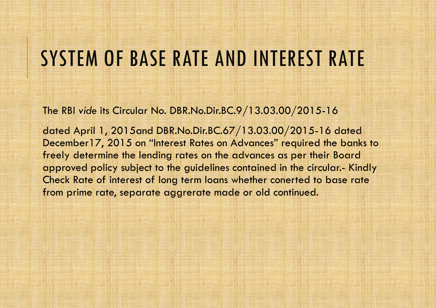### SYSTEM OF BASE RATE AND INTEREST RATE

The RBI *vide* its Circular No. DBR.No.Dir.BC.9/13.03.00/2015-16

dated April 1, 2015and DBR.No.Dir.BC.67/13.03.00/2015-16 dated December17, 2015 on "Interest Rates on Advances" required the banks to freely determine the lending rates on the advances as per their Board approved policy subject to the guidelines contained in the circular.- Kindly Check Rate of interest of long term loans whether conerted to base rate from prime rate, separate aggrerate made or old continued.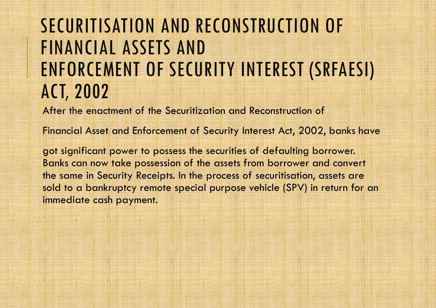### SECURITISATION AND RECONSTRUCTION OF FINANCIAL ASSETS AND ENFORCEMENT OF SECURITY INTEREST (SRFAESI) ACT, 2002

After the enactment of the Securitization and Reconstruction of

Financial Asset and Enforcement of Security Interest Act, 2002, banks have

got significant power to possess the securities of defaulting borrower. Banks can now take possession of the assets from borrower and convert the same in Security Receipts. In the process of securitisation, assets are sold to a bankruptcy remote special purpose vehicle (SPV) in return for an immediate cash payment.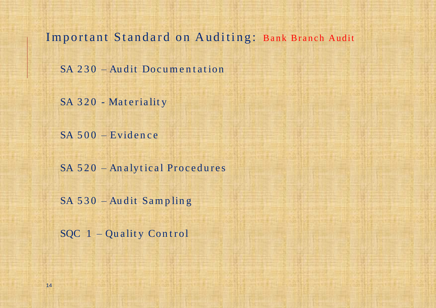Important Standard on Auditing: Bank Branch Audit

SA 230 – Audit Documentation

SA 320 - Materiality

 $SA 500 - Evidence$ 

SA 520 - An alytical Procedures

SA 530 – Audit Sampling

SQC 1 - Quality Control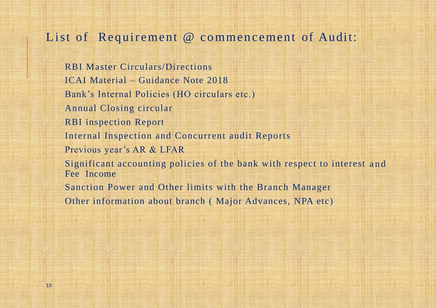#### List of Requirement @ commencement of Audit:

RBI Master Circulars/Directions ICAI Material – Guidance Note 2018 Bank's Internal Policies (HO circulars etc.) Annual Closing circular RBI inspection Report Internal Inspection and Concurrent audit Reports Previous year's AR & LFAR Significant accounting policies of the bank with respect to interest and Fee Income Sanction Power and Other limits with the Branch Manager Other information about branch ( Major Advances, NPA etc)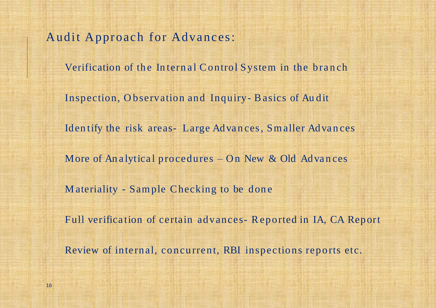Audit Approach for Advances:

Verification of the Internal Control System in the branch

Inspection, O bservation and Inquiry- Basics of Au dit

Identify the risk areas- Large Advances, Smaller Advances

More of Analytical procedures – On New & Old Advances

M ateriality - Sample Checking to be don e

Full verifica tion of certain advances- Reported in IA, CA Report

Review of internal, concurrent, RBI inspections reports etc.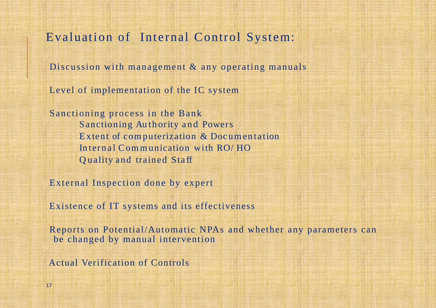#### Evaluation of Internal Control System:

Discussion with management & any operating manuals

Level of implementation of the IC system

Sanctioning process in the Bank Sanctioning Authority and Powers Extent of computerization & Documentation Internal Communication with RO/HO Q uality and trained Sta ff

External Inspection done by expert

Existence of IT systems and its effectiveness

Reports on Potential/Automatic NPAs and whether any parameters can be changed by manual intervention

Actual Verification of Controls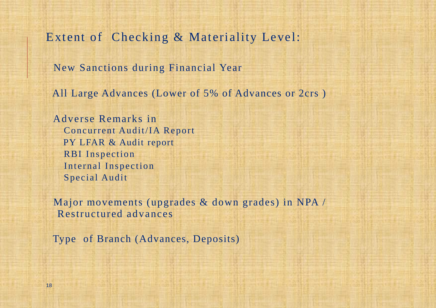Extent of Checking & Materiality Level:

New Sanctions during Financial Year

All Large Advances (Lower of 5% of Advances or 2crs )

Adverse Remarks in Concurrent Audit/IA Report PY LFAR & Audit report RBI Inspection Internal Inspection Special Audit

Major movements (upgrades & down grades) in NPA / Restructured advances

Type of Branch (Advances, Deposits)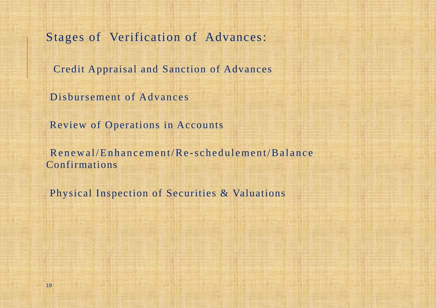Stages of Verification of Advances:

Credit Appraisal and Sanction of Advances

Disbursement of Advances

Review of Operations in Accounts

Renewal/Enhancement/Re-schedulement/Balance Confirmations

Physical Inspection of Securities & Valuations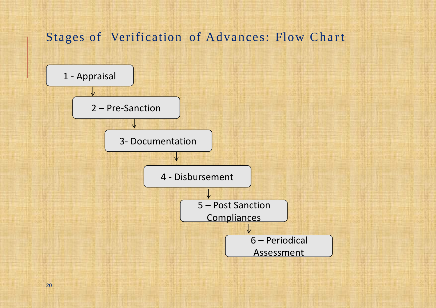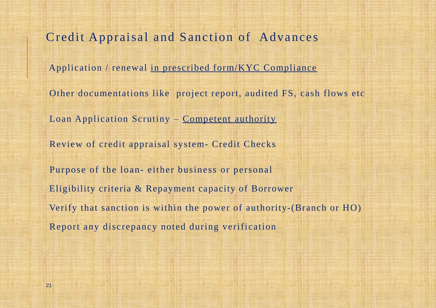Credit Appraisal and Sanction of Advances Application / renewal in prescribed form/KYC Compliance Other documentations like project report, audited FS, cash flows etc Loan Application Scrutiny – Competent authority Review of credit appraisal system- Credit Checks Purpose of the loan- either business or personal Eligibility criteria & Repayment capacity of Borrower Verify that sanction is within the power of authority-(Branch or HO) Report any discrepancy noted during verification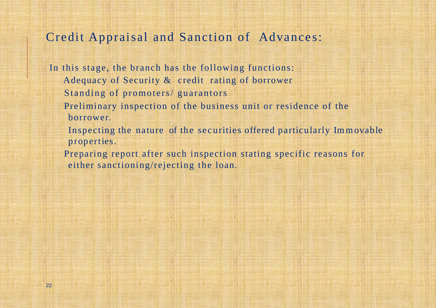#### Credit Appraisal and Sanction of Advances:

In this stage, the branch has the following functions: Adequacy of Security & credit rating of borrower Standing of promoters/ guarantors

- Preliminary inspection of the business unit or residence of the borrower.
- Inspecting the nature of the securities offered particularly Immovable properties.
- Preparing report after such inspection stating specific reasons for either sanctioning/rejecting the loan.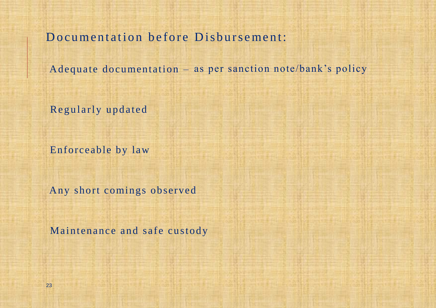Documentation before Disbursement:

Adequate documentation – as per sanction note/bank's policy

Regularly updated

Enforceable by law

Any short comings observed

Maintenance and safe custody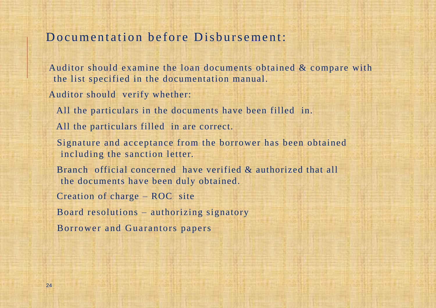#### Documentation before Disbursement:

Auditor should examine the loan documents obtained & compare with the list specified in the documentation manual.

Auditor should verify whether:

All the particulars in the documents have been filled in.

All the particulars filled in are correct.

Signature and acceptance from the borrower has been obtained including the sanction letter.

Branch official concerned have verified & authorized that all the documents have been duly obtained.

Creation of charge – ROC site

Board resolutions – authorizing signatory

Borrower and Guarantors papers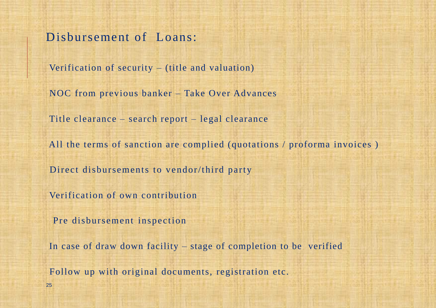Disbursement of Loans:

Verification of security – (title and valuation)

NOC from previous banker – Take Over Advances

Title clearance – search report – legal clearance

All the terms of sanction are complied (quotations / proforma invoices )

Direct disbursements to vendor/third party

Verification of own contribution

Pre disbursement inspection

25

In case of draw down facility – stage of completion to be verified

Follow up with original documents, registration etc.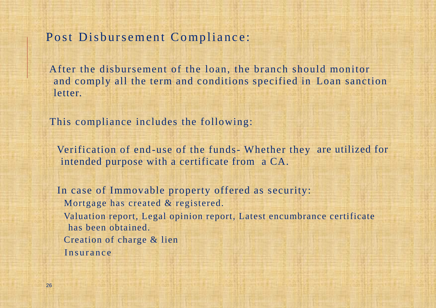#### Post Disbursement Compliance:

After the disbursement of the loan, the branch should monitor and comply all the term and conditions specified in Loan sanction letter.

This compliance includes the following:

Verification of end-use of the funds- Whether they are utilized for intended purpose with a certificate from a CA.

In case of Immovable property offered as security: Mortgage has created & registered. Valuation report, Legal opinion report, Latest encumbrance certificate has been obtained. Creation of charge & lien Insurance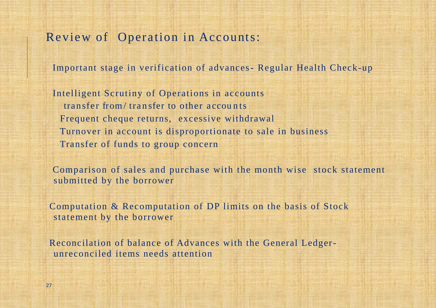#### Review of Operation in Accounts:

Important stage in verification of advances- Regular Health Check-up

Intelligent Scrutiny of Operations in accounts transfer from/transfer to other accounts Frequent cheque returns, excessive withdrawal Turnover in account is disproportionate to sale in business Transfer of funds to group concern

Comparison of sales and purchase with the month wise stock statement submitted by the borrower

Computation & Recomputation of DP limits on the basis of Stock statement by the borrower

Reconcilation of balance of Advances with the General Ledgerunreconciled items needs attention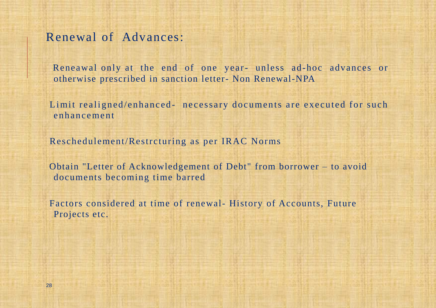#### Renewal of Advances:

Reneawal only at the end of one year- unless ad-hoc advances or otherwise prescribed in sanction letter- Non Renewal-NPA

Limit realigned/enhanced- necessary documents are executed for such enhancement

Reschedulement/Restrcturing as per IRAC Norms

Obtain "Letter of Acknowledgement of Debt" from borrower – to avoid documents becoming time barred

Factors considered at time of renewal- History of Accounts, Future Projects etc.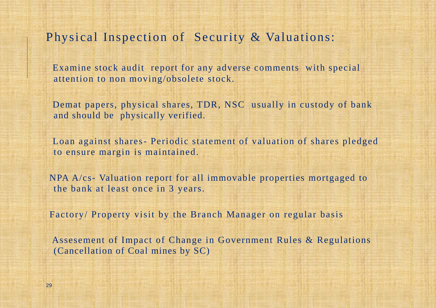#### Physical Inspection of Security & Valuations:

Examine stock audit report for any adverse comments with special attention to non moving/obsolete stock.

Demat papers, physical shares, TDR, NSC usually in custody of bank and should be physically verified.

Loan against shares- Periodic statement of valuation of shares pledged to ensure margin is maintained.

NPA A/cs- Valuation report for all immovable properties mortgaged to the bank at least once in 3 years.

Factory/ Property visit by the Branch Manager on regular basis

Assesement of Impact of Change in Government Rules & Regulations (Cancellation of Coal mines by SC)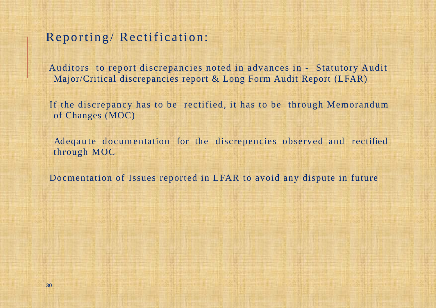#### Reporting/Rectification:

Auditors to report discrepancies noted in advances in - Statutory Audit Major/Critical discrepancies report & Long Form Audit Report (LFAR)

If the discrepancy has to be rectified, it has to be through Memorandum of Changes (MOC)

Adeqaute documentation for the discrepencies observed and rectified through MOC

Docmentation of Issues reported in LFAR to avoid any dispute in future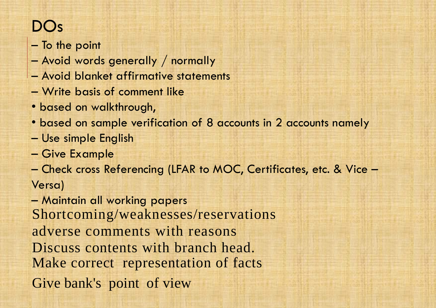### DOs

- To the point
- Avoid words generally / normally
- Avoid blanket affirmative statements
- Write basis of comment like
- based on walkthrough,
- based on sample verification of 8 accounts in 2 accounts namely
- Use simple English
- Give Example
- Check cross Referencing (LFAR to MOC, Certificates, etc. & Vice Versa)

– Maintain all working papers Shortcoming/weaknesses/reservations adverse comments with reasons Discuss contents with branch head. Make correct representation of facts Give bank's point of view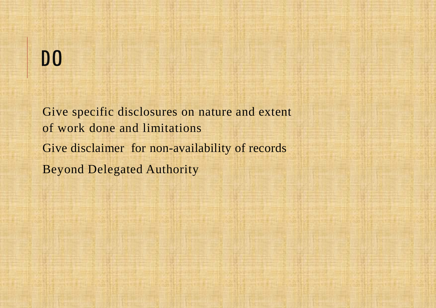# DO

Give specific disclosures on nature and extent of work done and limitations Give disclaimer for non-availability of records Beyond Delegated Authority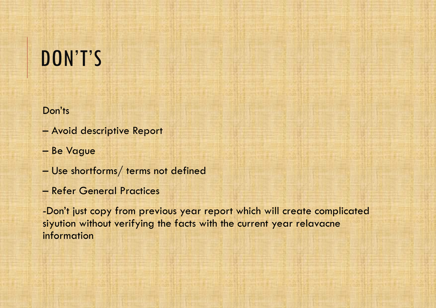# DON'T'S

#### Don'ts

- Avoid descriptive Report
- Be Vague
- Use shortforms/ terms not defined
- Refer General Practices

-Don't just copy from previous year report which will create complicated siyution without verifying the facts with the current year relavacne information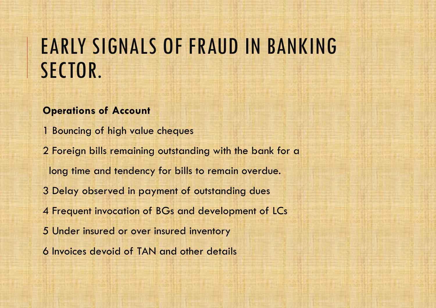#### **Operations of Account**

1 Bouncing of high value cheques

2 Foreign bills remaining outstanding with the bank for a long time and tendency for bills to remain overdue.

3 Delay observed in payment of outstanding dues

4 Frequent invocation of BGs and development of LCs

5 Under insured or over insured inventory

6 Invoices devoid of TAN and other details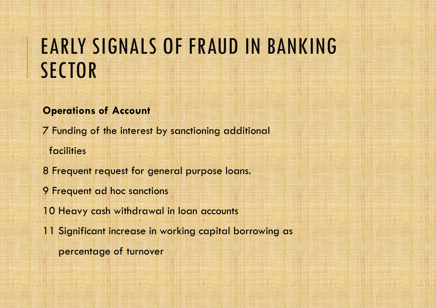#### **Operations of Account**

7 Funding of the interest by sanctioning additional facilities

8 Frequent request for general purpose loans.

9 Frequent ad hoc sanctions

10 Heavy cash withdrawal in loan accounts

11 Significant increase in working capital borrowing as

percentage of turnover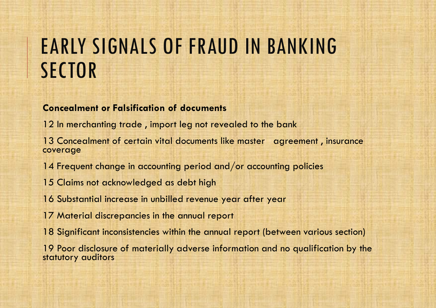#### **Concealment or Falsification of documents**

- 12 In merchanting trade, import leg not revealed to the bank
- 13 Concealment of certain vital documents like master agreement , insurance coverage
- 14 Frequent change in accounting period and/or accounting policies
- 15 Claims not acknowledged as debt high
- 16 Substantial increase in unbilled revenue year after year
- 17 Material discrepancies in the annual report
- 18 Significant inconsistencies within the annual report (between various section)

19 Poor disclosure of materially adverse information and no qualification by the statutory auditors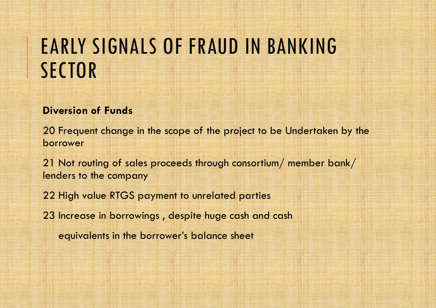#### **Diversion of Funds**

20 Frequent change in the scope of the project to be Undertaken by the borrower

21 Not routing of sales proceeds through consortium/ member bank/ lenders to the company

22 High value RTGS payment to unrelated parties

23 Increase in borrowings , despite huge cash and cash

equivalents in the borrower's balance sheet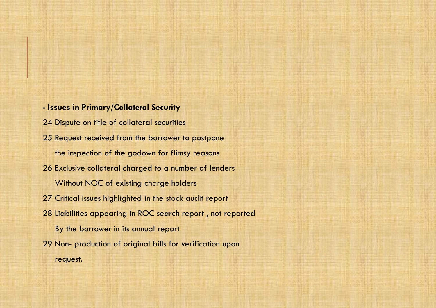**- Issues in Primary/Collateral Security** 24 Dispute on title of collateral securities 25 Request received from the borrower to postpone the inspection of the godown for flimsy reasons 26 Exclusive collateral charged to a number of lenders Without NOC of existing charge holders 27 Critical issues highlighted in the stock audit report 28 Liabilities appearing in ROC search report , not reported By the borrower in its annual report 29 Non- production of original bills for verification upon request.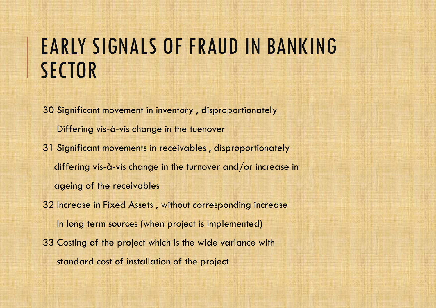30 Significant movement in inventory , disproportionately Differing vis-à-vis change in the tuenover 31 Significant movements in receivables , disproportionately differing vis-à-vis change in the turnover and/or increase in ageing of the receivables 32 Increase in Fixed Assets , without corresponding increase In long term sources (when project is implemented)

33 Costing of the project which is the wide variance with standard cost of installation of the project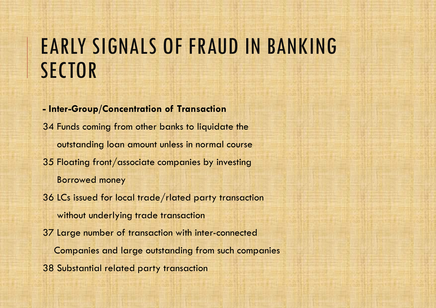# EARLY SIGNALS OF FRAUD IN BANKING **SECTOR**

**- Inter-Group/Concentration of Transaction**  34 Funds coming from other banks to liquidate the outstanding loan amount unless in normal course 35 Floating front/associate companies by investing Borrowed money 36 LCs issued for local trade/rlated party transaction without underlying trade transaction 37 Large number of transaction with inter-connected Companies and large outstanding from such companies

38 Substantial related party transaction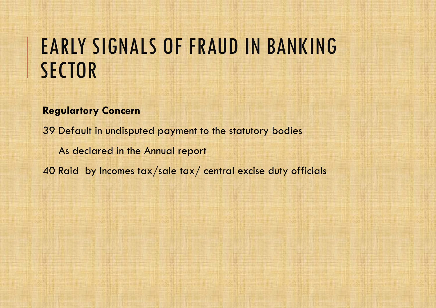# EARLY SIGNALS OF FRAUD IN BANKING **SECTOR**

#### **Regulartory Concern**

39 Default in undisputed payment to the statutory bodies As declared in the Annual report 40 Raid by Incomes tax/sale tax/ central excise duty officials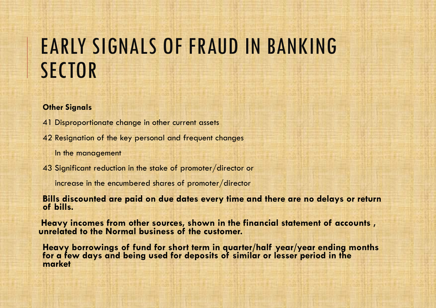# EARLY SIGNALS OF FRAUD IN BANKING **SECTOR**

#### **Other Signals**

- 41 Disproportionate change in other current assets
- 42 Resignation of the key personal and frequent changes

In the management

43 Significant reduction in the stake of promoter/director or

increase in the encumbered shares of promoter/director

**Bills discounted are paid on due dates every time and there are no delays or return of bills.**

**Heavy incomes from other sources, shown in the financial statement of accounts , unrelated to the Normal business of the customer.**

**Heavy borrowings of fund for short term in quarter/half year/year ending months for a few days and being used for deposits of similar or lesser period in the market**